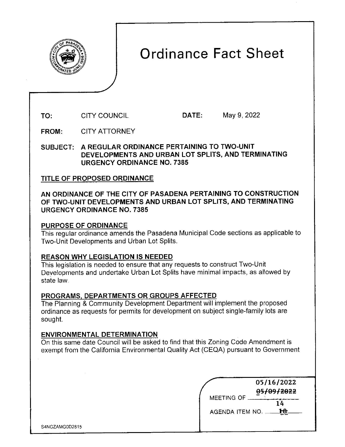

# Ordinance Fact Sheet

**TO:**  CITY COUNCIL **DATE:** May 9, 2022

**FROM:**  CITY ATTORNEY

**SUBJECT: A REGULAR ORDINANCE PERTAINING TO TWO-UNIT DEVELOPMENTS AND URBAN LOT SPLITS, AND TERMINATING URGENCY ORDINANCE NO. 7385** 

## TITLE **OF PROPOSED ORDINANCE**

### **AN ORDINANCE OF THE CITY OF PASADENA PERTAINING TO CONSTRUCTION OF TWO-UNIT DEVELOPMENTS AND URBAN LOT SPLITS, AND TERMINATING URGENCY ORDINANCE NO. 7385**

### **PURPOSE OF ORDINANCE**

This regular ordinance amends the Pasadena Municipal Code sections as applicable to Two-Unit Developments and Urban Lot Splits.

# **REASON WHY LEGISLATION IS NEEDED**

This legislation is needed to ensure that any requests to construct Two-Unit Developments and undertake Urban Lot Splits have minimal impacts, as allowed by state law.

# **PROGRAMS, DEPARTMENTS OR GROUPS AFFECTED**

The Planning & Community Development Department will implement the proposed ordinance as requests for permits for development on subject single-family lots are sought.

### **ENVIRONMENTAL DETERMINATION**

On this same date Council will be asked to find that this Zoning Code Amendment is exempt from the California Environmental Quality Act (CEQA) pursuant to Government

| 05/16/2022             |
|------------------------|
| 05/09/2022             |
| MEETING OF             |
| <b>AGENDA ITEM NO.</b> |
|                        |